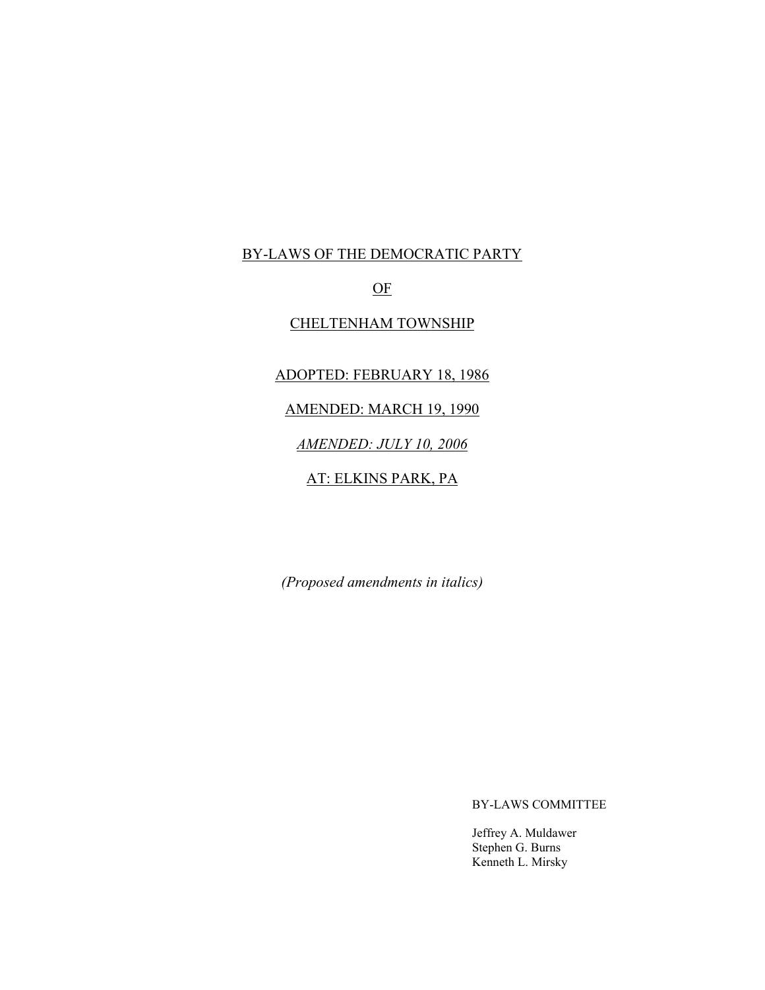# BY-LAWS OF THE DEMOCRATIC PARTY

# OF

# CHELTENHAM TOWNSHIP

# ADOPTED: FEBRUARY 18, 1986

#### AMENDED: MARCH 19, 1990

# *AMENDED: JULY 10, 2006*

### AT: ELKINS PARK, PA

*(Proposed amendments in italics)*

BY-LAWS COMMITTEE

Jeffrey A. Muldawer Stephen G. Burns Kenneth L. Mirsky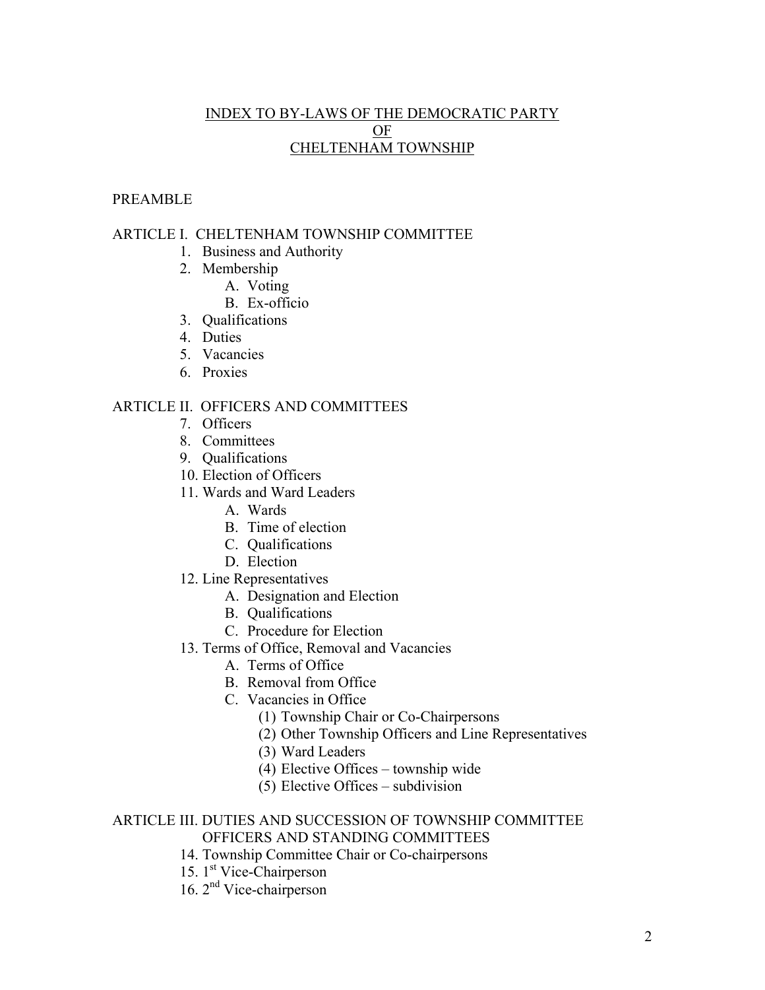# INDEX TO BY-LAWS OF THE DEMOCRATIC PARTY OF CHELTENHAM TOWNSHIP

# PREAMBLE

### ARTICLE I. CHELTENHAM TOWNSHIP COMMITTEE

- 1. Business and Authority
- 2. Membership
	- A. Voting
	- B. Ex-officio
- 3. Qualifications
- 4. Duties
- 5. Vacancies
- 6. Proxies

### ARTICLE II. OFFICERS AND COMMITTEES

- 7. Officers
- 8. Committees
- 9. Qualifications
- 10. Election of Officers
- 11. Wards and Ward Leaders
	- A. Wards
	- B. Time of election
	- C. Qualifications
	- D. Election
- 12. Line Representatives
	- A. Designation and Election
	- B. Qualifications
	- C. Procedure for Election
- 13. Terms of Office, Removal and Vacancies
	- A. Terms of Office
	- B. Removal from Office
	- C. Vacancies in Office
		- (1) Township Chair or Co-Chairpersons
		- (2) Other Township Officers and Line Representatives
		- (3) Ward Leaders
		- (4) Elective Offices township wide
		- (5) Elective Offices subdivision

### ARTICLE III. DUTIES AND SUCCESSION OF TOWNSHIP COMMITTEE OFFICERS AND STANDING COMMITTEES

- 14. Township Committee Chair or Co-chairpersons
- 15. 1<sup>st</sup> Vice-Chairperson
- 16. 2nd Vice-chairperson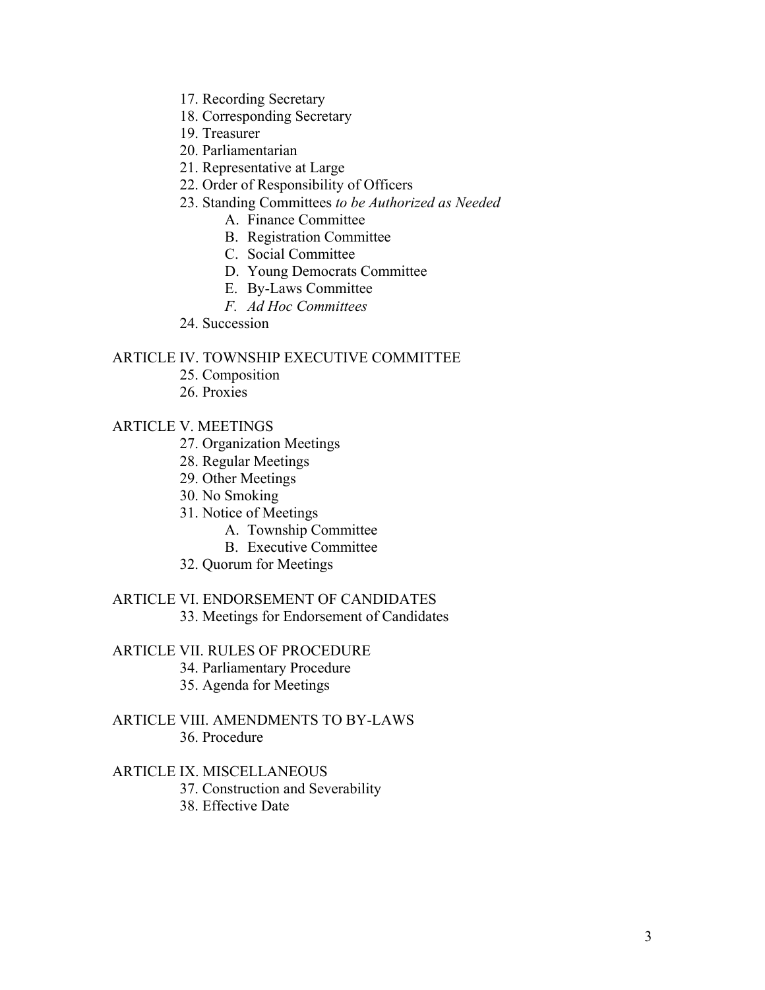- 17. Recording Secretary
- 18. Corresponding Secretary
- 19. Treasurer
- 20. Parliamentarian
- 21. Representative at Large
- 22. Order of Responsibility of Officers
- 23. Standing Committees *to be Authorized as Needed*
	- A. Finance Committee
	- B. Registration Committee
	- C. Social Committee
	- D. Young Democrats Committee
	- E. By-Laws Committee
	- *F. Ad Hoc Committees*
- 24. Succession

### ARTICLE IV. TOWNSHIP EXECUTIVE COMMITTEE

- 25. Composition
- 26. Proxies

## ARTICLE V. MEETINGS

- 27. Organization Meetings
- 28. Regular Meetings
- 29. Other Meetings
- 30. No Smoking
- 31. Notice of Meetings
	- A. Township Committee
	- B. Executive Committee
- 32. Quorum for Meetings

# ARTICLE VI. ENDORSEMENT OF CANDIDATES

33. Meetings for Endorsement of Candidates

# ARTICLE VII. RULES OF PROCEDURE

- 34. Parliamentary Procedure
- 35. Agenda for Meetings

### ARTICLE VIII. AMENDMENTS TO BY-LAWS 36. Procedure

### ARTICLE IX. MISCELLANEOUS

- 37. Construction and Severability
- 38. Effective Date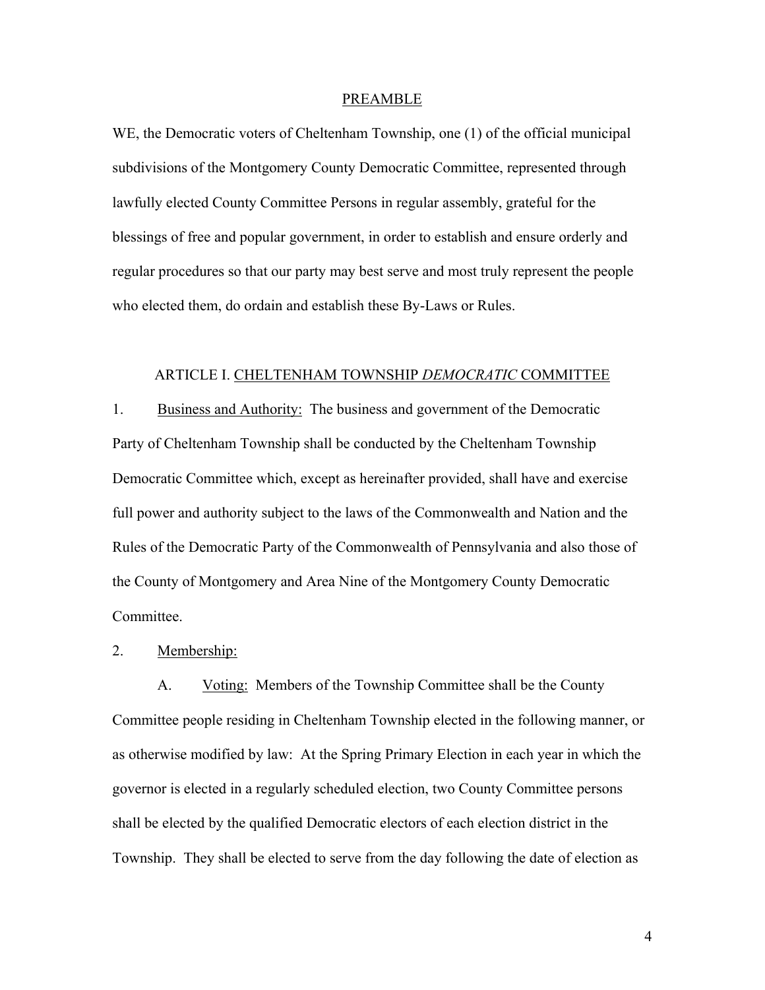#### PREAMBLE

WE, the Democratic voters of Cheltenham Township, one (1) of the official municipal subdivisions of the Montgomery County Democratic Committee, represented through lawfully elected County Committee Persons in regular assembly, grateful for the blessings of free and popular government, in order to establish and ensure orderly and regular procedures so that our party may best serve and most truly represent the people who elected them, do ordain and establish these By-Laws or Rules.

#### ARTICLE I. CHELTENHAM TOWNSHIP *DEMOCRATIC* COMMITTEE

1. Business and Authority: The business and government of the Democratic Party of Cheltenham Township shall be conducted by the Cheltenham Township Democratic Committee which, except as hereinafter provided, shall have and exercise full power and authority subject to the laws of the Commonwealth and Nation and the Rules of the Democratic Party of the Commonwealth of Pennsylvania and also those of the County of Montgomery and Area Nine of the Montgomery County Democratic Committee.

2. Membership:

A. Voting: Members of the Township Committee shall be the County Committee people residing in Cheltenham Township elected in the following manner, or as otherwise modified by law: At the Spring Primary Election in each year in which the governor is elected in a regularly scheduled election, two County Committee persons shall be elected by the qualified Democratic electors of each election district in the Township. They shall be elected to serve from the day following the date of election as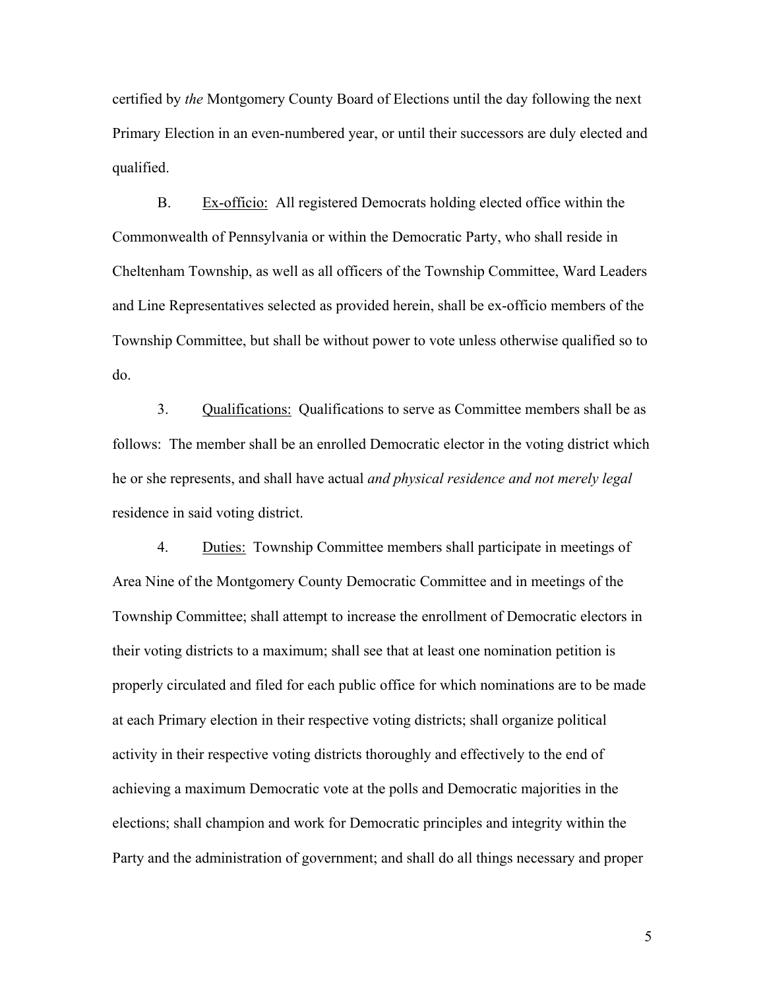certified by *the* Montgomery County Board of Elections until the day following the next Primary Election in an even-numbered year, or until their successors are duly elected and qualified.

B. Ex-officio: All registered Democrats holding elected office within the Commonwealth of Pennsylvania or within the Democratic Party, who shall reside in Cheltenham Township, as well as all officers of the Township Committee, Ward Leaders and Line Representatives selected as provided herein, shall be ex-officio members of the Township Committee, but shall be without power to vote unless otherwise qualified so to do.

3. Qualifications: Qualifications to serve as Committee members shall be as follows: The member shall be an enrolled Democratic elector in the voting district which he or she represents, and shall have actual *and physical residence and not merely legal* residence in said voting district.

4. Duties: Township Committee members shall participate in meetings of Area Nine of the Montgomery County Democratic Committee and in meetings of the Township Committee; shall attempt to increase the enrollment of Democratic electors in their voting districts to a maximum; shall see that at least one nomination petition is properly circulated and filed for each public office for which nominations are to be made at each Primary election in their respective voting districts; shall organize political activity in their respective voting districts thoroughly and effectively to the end of achieving a maximum Democratic vote at the polls and Democratic majorities in the elections; shall champion and work for Democratic principles and integrity within the Party and the administration of government; and shall do all things necessary and proper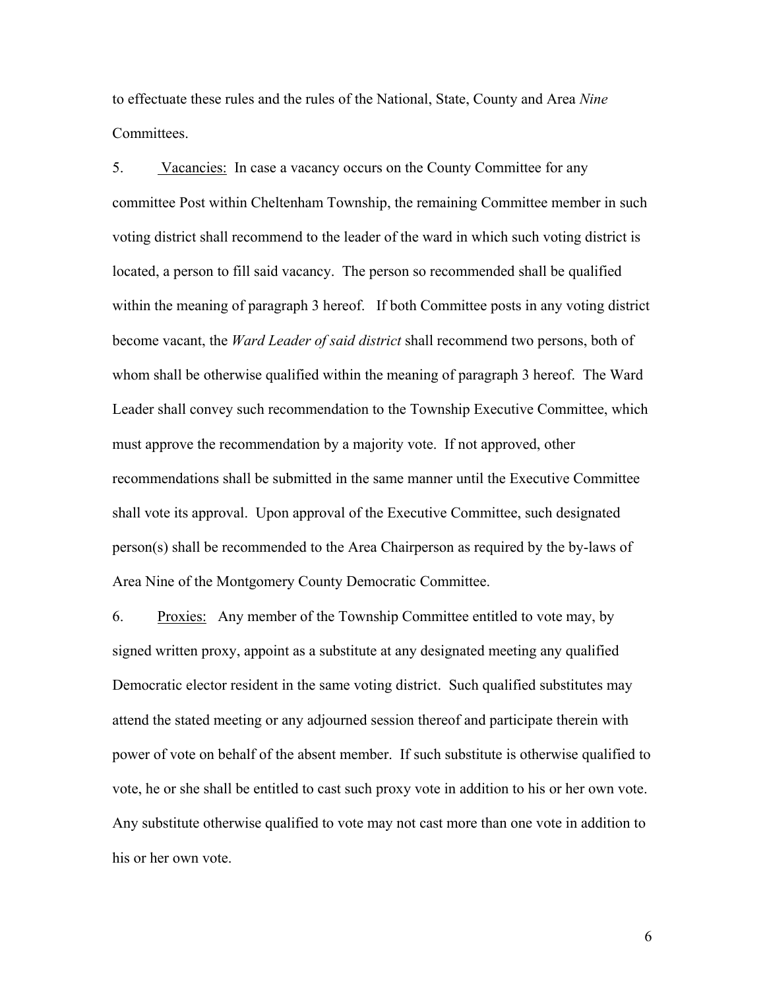to effectuate these rules and the rules of the National, State, County and Area *Nine* Committees.

5. Vacancies: In case a vacancy occurs on the County Committee for any committee Post within Cheltenham Township, the remaining Committee member in such voting district shall recommend to the leader of the ward in which such voting district is located, a person to fill said vacancy. The person so recommended shall be qualified within the meaning of paragraph 3 hereof. If both Committee posts in any voting district become vacant, the *Ward Leader of said district* shall recommend two persons, both of whom shall be otherwise qualified within the meaning of paragraph 3 hereof. The Ward Leader shall convey such recommendation to the Township Executive Committee, which must approve the recommendation by a majority vote. If not approved, other recommendations shall be submitted in the same manner until the Executive Committee shall vote its approval. Upon approval of the Executive Committee, such designated person(s) shall be recommended to the Area Chairperson as required by the by-laws of Area Nine of the Montgomery County Democratic Committee.

6. Proxies: Any member of the Township Committee entitled to vote may, by signed written proxy, appoint as a substitute at any designated meeting any qualified Democratic elector resident in the same voting district. Such qualified substitutes may attend the stated meeting or any adjourned session thereof and participate therein with power of vote on behalf of the absent member. If such substitute is otherwise qualified to vote, he or she shall be entitled to cast such proxy vote in addition to his or her own vote. Any substitute otherwise qualified to vote may not cast more than one vote in addition to his or her own vote.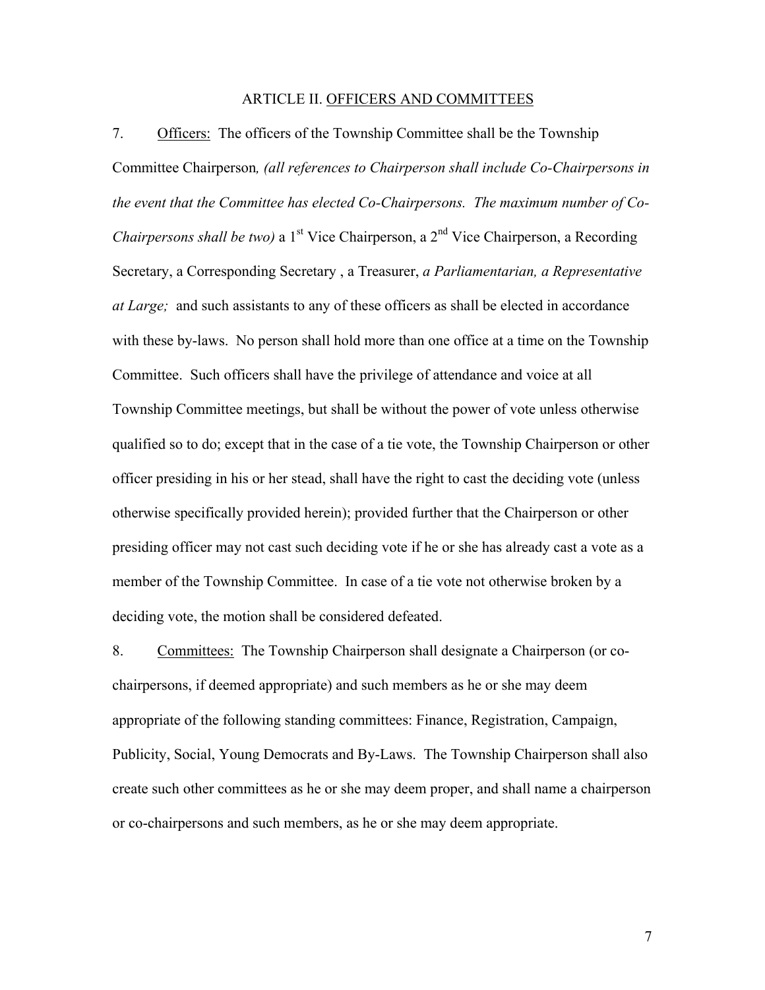#### ARTICLE II. OFFICERS AND COMMITTEES

7. Officers: The officers of the Township Committee shall be the Township Committee Chairperson*, (all references to Chairperson shall include Co-Chairpersons in the event that the Committee has elected Co-Chairpersons. The maximum number of Co-Chairpersons shall be two)* a 1<sup>st</sup> Vice Chairperson, a 2<sup>nd</sup> Vice Chairperson, a Recording Secretary, a Corresponding Secretary , a Treasurer, *a Parliamentarian, a Representative at Large;* and such assistants to any of these officers as shall be elected in accordance with these by-laws. No person shall hold more than one office at a time on the Township Committee. Such officers shall have the privilege of attendance and voice at all Township Committee meetings, but shall be without the power of vote unless otherwise qualified so to do; except that in the case of a tie vote, the Township Chairperson or other officer presiding in his or her stead, shall have the right to cast the deciding vote (unless otherwise specifically provided herein); provided further that the Chairperson or other presiding officer may not cast such deciding vote if he or she has already cast a vote as a member of the Township Committee. In case of a tie vote not otherwise broken by a deciding vote, the motion shall be considered defeated.

8. Committees: The Township Chairperson shall designate a Chairperson (or cochairpersons, if deemed appropriate) and such members as he or she may deem appropriate of the following standing committees: Finance, Registration, Campaign, Publicity, Social, Young Democrats and By-Laws. The Township Chairperson shall also create such other committees as he or she may deem proper, and shall name a chairperson or co-chairpersons and such members, as he or she may deem appropriate.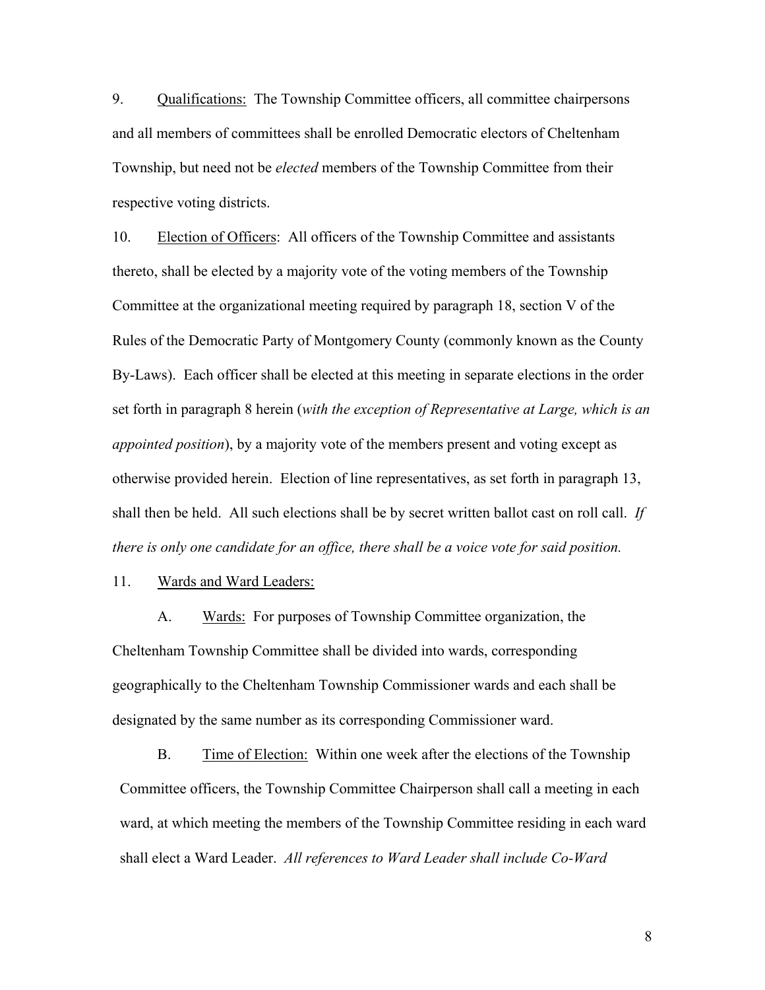9. Qualifications: The Township Committee officers, all committee chairpersons and all members of committees shall be enrolled Democratic electors of Cheltenham Township, but need not be *elected* members of the Township Committee from their respective voting districts.

10. Election of Officers: All officers of the Township Committee and assistants thereto, shall be elected by a majority vote of the voting members of the Township Committee at the organizational meeting required by paragraph 18, section V of the Rules of the Democratic Party of Montgomery County (commonly known as the County By-Laws). Each officer shall be elected at this meeting in separate elections in the order set forth in paragraph 8 herein (*with the exception of Representative at Large, which is an appointed position*), by a majority vote of the members present and voting except as otherwise provided herein. Election of line representatives, as set forth in paragraph 13, shall then be held. All such elections shall be by secret written ballot cast on roll call. *If there is only one candidate for an office, there shall be a voice vote for said position.* 

11. Wards and Ward Leaders:

A. Wards: For purposes of Township Committee organization, the Cheltenham Township Committee shall be divided into wards, corresponding geographically to the Cheltenham Township Commissioner wards and each shall be designated by the same number as its corresponding Commissioner ward.

B. Time of Election: Within one week after the elections of the Township Committee officers, the Township Committee Chairperson shall call a meeting in each ward, at which meeting the members of the Township Committee residing in each ward shall elect a Ward Leader. *All references to Ward Leader shall include Co-Ward*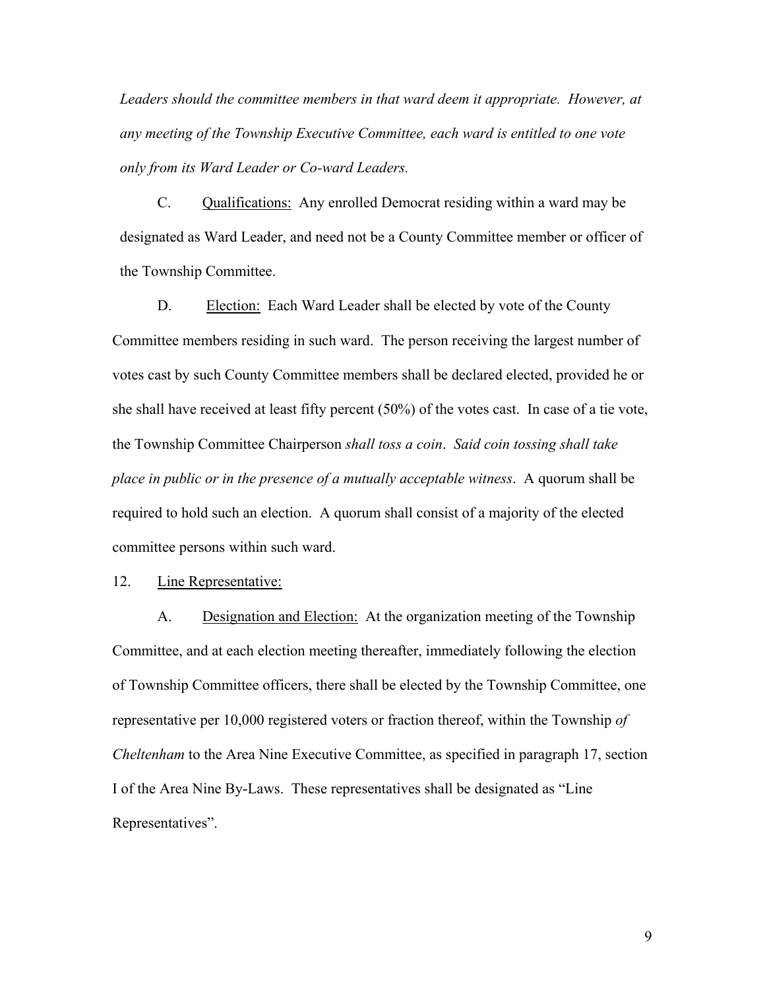*Leaders should the committee members in that ward deem it appropriate. However, at any meeting of the Township Executive Committee, each ward is entitled to one vote only from its Ward Leader or Co-ward Leaders.* 

C. Qualifications: Any enrolled Democrat residing within a ward may be designated as Ward Leader, and need not be a County Committee member or officer of the Township Committee.

D. Election: Each Ward Leader shall be elected by vote of the County Committee members residing in such ward. The person receiving the largest number of votes cast by such County Committee members shall be declared elected, provided he or she shall have received at least fifty percent (50%) of the votes cast. In case of a tie vote, the Township Committee Chairperson *shall toss a coin*. *Said coin tossing shall take place in public or in the presence of a mutually acceptable witness*. A quorum shall be required to hold such an election. A quorum shall consist of a majority of the elected committee persons within such ward.

12. Line Representative:

A. Designation and Election: At the organization meeting of the Township Committee, and at each election meeting thereafter, immediately following the election of Township Committee officers, there shall be elected by the Township Committee, one representative per 10,000 registered voters or fraction thereof, within the Township *of Cheltenham* to the Area Nine Executive Committee, as specified in paragraph 17, section I of the Area Nine By-Laws. These representatives shall be designated as "Line Representatives".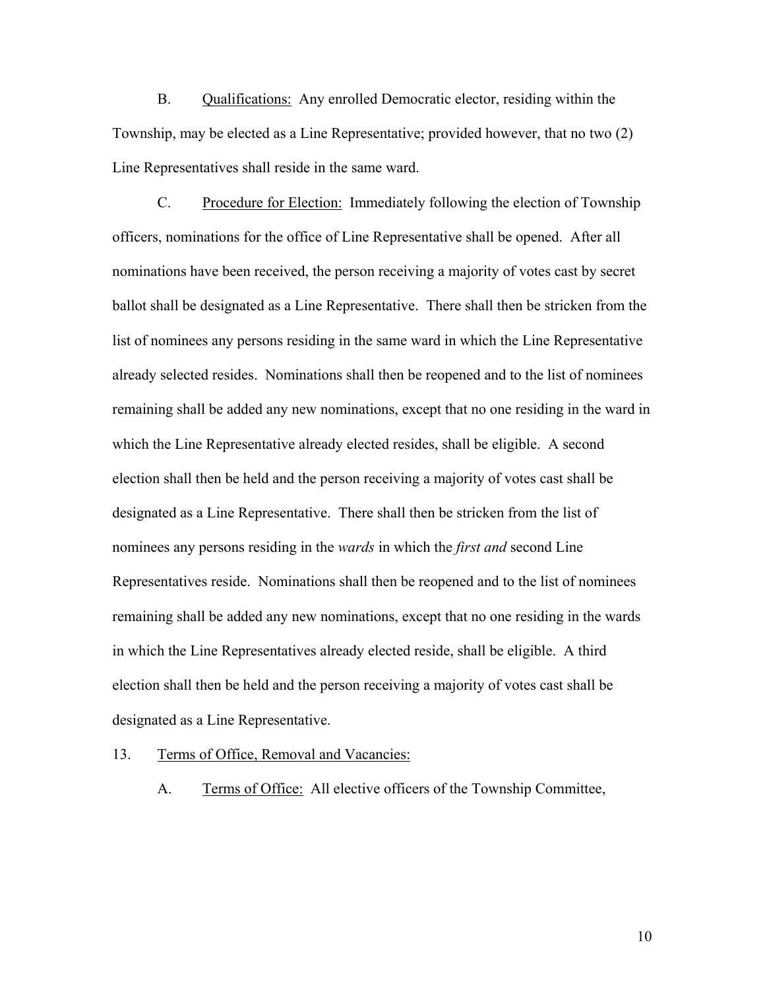B. Qualifications: Any enrolled Democratic elector, residing within the Township, may be elected as a Line Representative; provided however, that no two (2) Line Representatives shall reside in the same ward.

C. Procedure for Election: Immediately following the election of Township officers, nominations for the office of Line Representative shall be opened. After all nominations have been received, the person receiving a majority of votes cast by secret ballot shall be designated as a Line Representative. There shall then be stricken from the list of nominees any persons residing in the same ward in which the Line Representative already selected resides. Nominations shall then be reopened and to the list of nominees remaining shall be added any new nominations, except that no one residing in the ward in which the Line Representative already elected resides, shall be eligible. A second election shall then be held and the person receiving a majority of votes cast shall be designated as a Line Representative. There shall then be stricken from the list of nominees any persons residing in the *wards* in which the *first and* second Line Representatives reside. Nominations shall then be reopened and to the list of nominees remaining shall be added any new nominations, except that no one residing in the wards in which the Line Representatives already elected reside, shall be eligible. A third election shall then be held and the person receiving a majority of votes cast shall be designated as a Line Representative.

#### 13. Terms of Office, Removal and Vacancies:

A. Terms of Office: All elective officers of the Township Committee,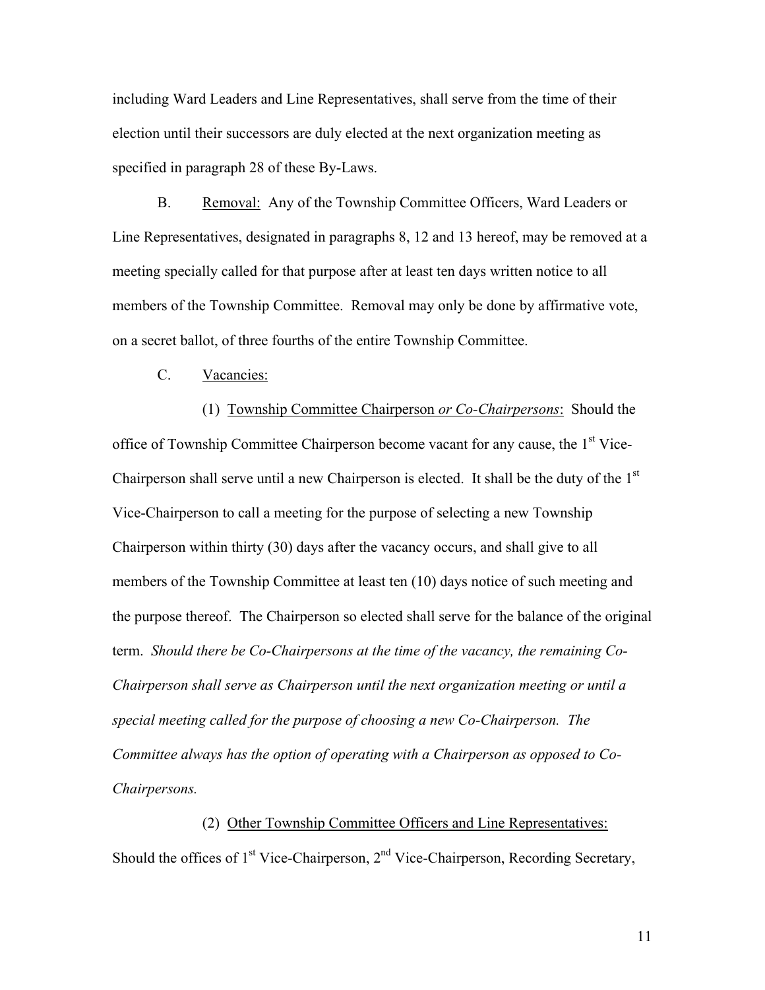including Ward Leaders and Line Representatives, shall serve from the time of their election until their successors are duly elected at the next organization meeting as specified in paragraph 28 of these By-Laws.

B. Removal: Any of the Township Committee Officers, Ward Leaders or Line Representatives, designated in paragraphs 8, 12 and 13 hereof, may be removed at a meeting specially called for that purpose after at least ten days written notice to all members of the Township Committee. Removal may only be done by affirmative vote, on a secret ballot, of three fourths of the entire Township Committee.

C. Vacancies:

(1) Township Committee Chairperson *or Co-Chairpersons*: Should the office of Township Committee Chairperson become vacant for any cause, the 1<sup>st</sup> Vice-Chairperson shall serve until a new Chairperson is elected. It shall be the duty of the 1<sup>st</sup> Vice-Chairperson to call a meeting for the purpose of selecting a new Township Chairperson within thirty (30) days after the vacancy occurs, and shall give to all members of the Township Committee at least ten (10) days notice of such meeting and the purpose thereof. The Chairperson so elected shall serve for the balance of the original term. *Should there be Co-Chairpersons at the time of the vacancy, the remaining Co-Chairperson shall serve as Chairperson until the next organization meeting or until a special meeting called for the purpose of choosing a new Co-Chairperson. The Committee always has the option of operating with a Chairperson as opposed to Co-Chairpersons.* 

 (2) Other Township Committee Officers and Line Representatives: Should the offices of  $1<sup>st</sup>$  Vice-Chairperson,  $2<sup>nd</sup>$  Vice-Chairperson, Recording Secretary,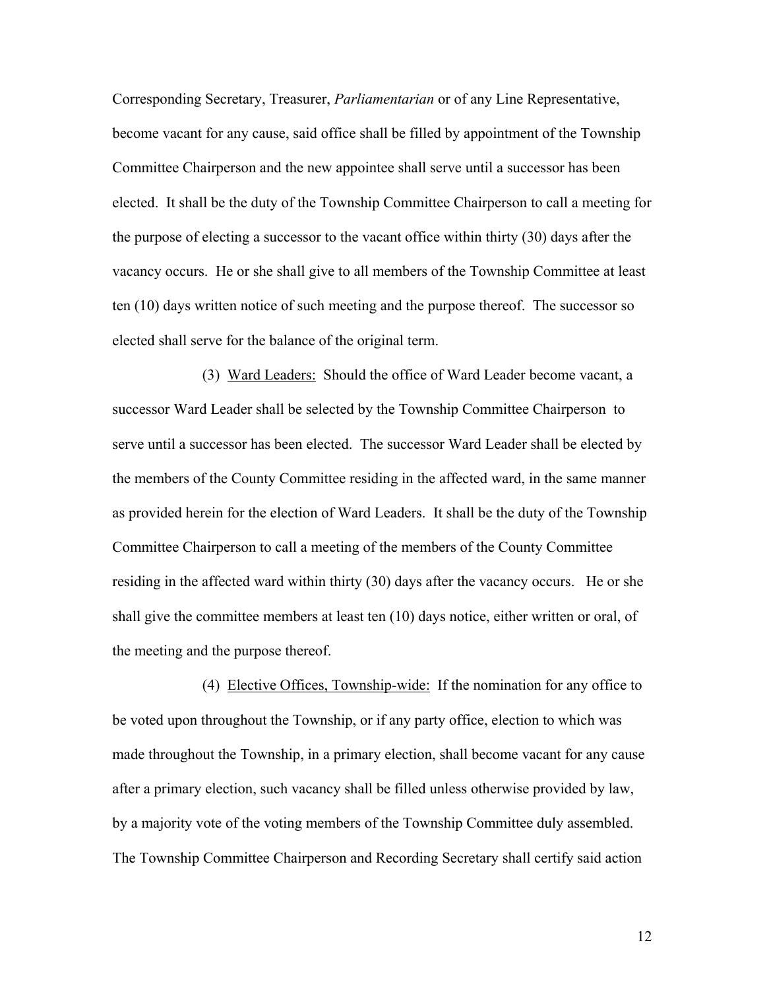Corresponding Secretary, Treasurer, *Parliamentarian* or of any Line Representative, become vacant for any cause, said office shall be filled by appointment of the Township Committee Chairperson and the new appointee shall serve until a successor has been elected. It shall be the duty of the Township Committee Chairperson to call a meeting for the purpose of electing a successor to the vacant office within thirty (30) days after the vacancy occurs. He or she shall give to all members of the Township Committee at least ten (10) days written notice of such meeting and the purpose thereof. The successor so elected shall serve for the balance of the original term.

 (3) Ward Leaders: Should the office of Ward Leader become vacant, a successor Ward Leader shall be selected by the Township Committee Chairperson to serve until a successor has been elected. The successor Ward Leader shall be elected by the members of the County Committee residing in the affected ward, in the same manner as provided herein for the election of Ward Leaders. It shall be the duty of the Township Committee Chairperson to call a meeting of the members of the County Committee residing in the affected ward within thirty (30) days after the vacancy occurs. He or she shall give the committee members at least ten (10) days notice, either written or oral, of the meeting and the purpose thereof.

(4) Elective Offices, Township-wide: If the nomination for any office to be voted upon throughout the Township, or if any party office, election to which was made throughout the Township, in a primary election, shall become vacant for any cause after a primary election, such vacancy shall be filled unless otherwise provided by law, by a majority vote of the voting members of the Township Committee duly assembled. The Township Committee Chairperson and Recording Secretary shall certify said action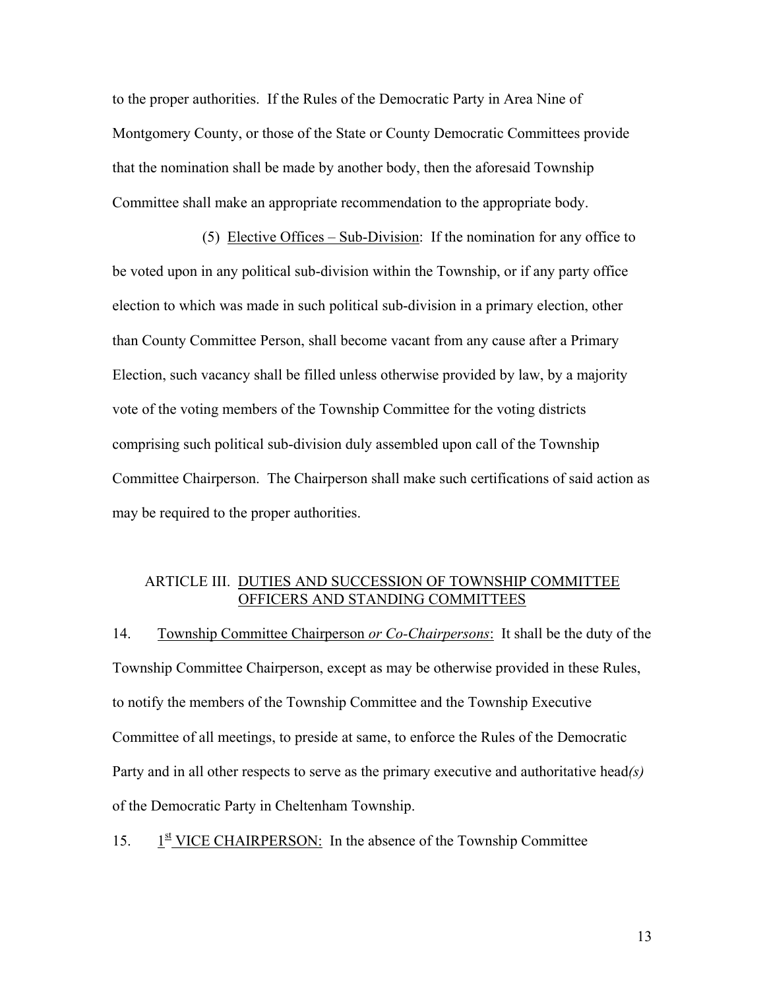to the proper authorities. If the Rules of the Democratic Party in Area Nine of Montgomery County, or those of the State or County Democratic Committees provide that the nomination shall be made by another body, then the aforesaid Township Committee shall make an appropriate recommendation to the appropriate body.

(5) Elective Offices – Sub-Division: If the nomination for any office to be voted upon in any political sub-division within the Township, or if any party office election to which was made in such political sub-division in a primary election, other than County Committee Person, shall become vacant from any cause after a Primary Election, such vacancy shall be filled unless otherwise provided by law, by a majority vote of the voting members of the Township Committee for the voting districts comprising such political sub-division duly assembled upon call of the Township Committee Chairperson. The Chairperson shall make such certifications of said action as may be required to the proper authorities.

### ARTICLE III. DUTIES AND SUCCESSION OF TOWNSHIP COMMITTEE OFFICERS AND STANDING COMMITTEES

14. Township Committee Chairperson *or Co-Chairpersons*: It shall be the duty of the Township Committee Chairperson, except as may be otherwise provided in these Rules, to notify the members of the Township Committee and the Township Executive Committee of all meetings, to preside at same, to enforce the Rules of the Democratic Party and in all other respects to serve as the primary executive and authoritative head*(s)* of the Democratic Party in Cheltenham Township.

 $15.$  $1<sup>st</sup>$  VICE CHAIRPERSON: In the absence of the Township Committee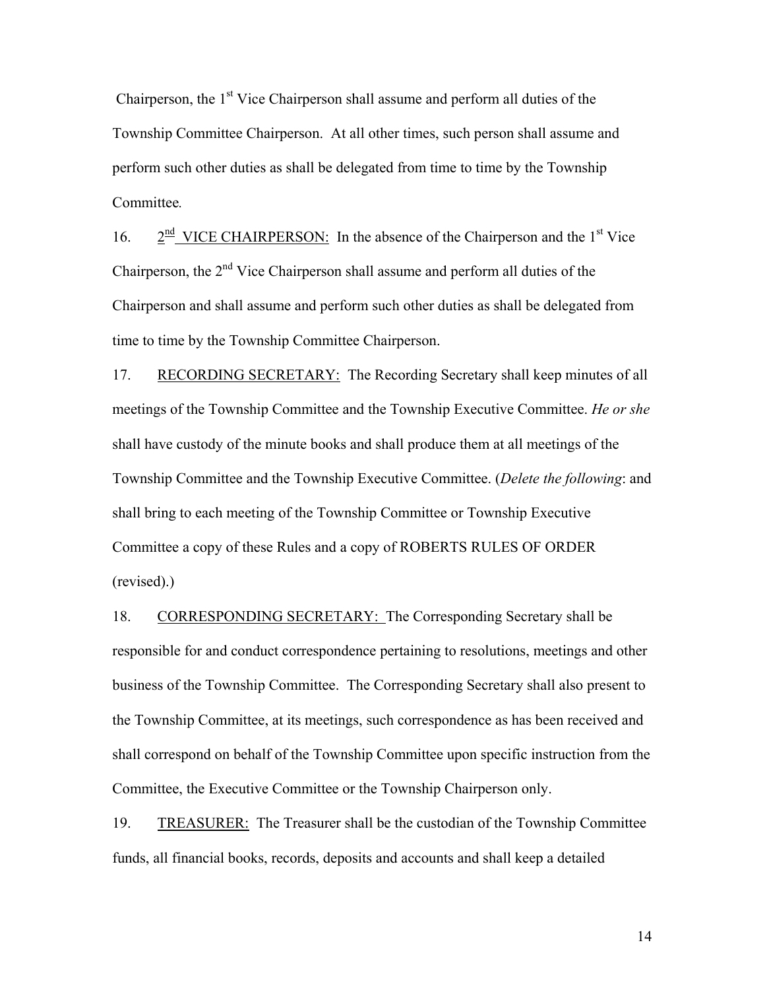Chairperson, the 1<sup>st</sup> Vice Chairperson shall assume and perform all duties of the Township Committee Chairperson. At all other times, such person shall assume and perform such other duties as shall be delegated from time to time by the Township Committee*.*

16.  $2^{\frac{nd}{}}$  VICE CHAIRPERSON: In the absence of the Chairperson and the 1<sup>st</sup> Vice Chairperson, the  $2<sup>nd</sup>$  Vice Chairperson shall assume and perform all duties of the Chairperson and shall assume and perform such other duties as shall be delegated from time to time by the Township Committee Chairperson.

17. RECORDING SECRETARY: The Recording Secretary shall keep minutes of all meetings of the Township Committee and the Township Executive Committee. *He or she* shall have custody of the minute books and shall produce them at all meetings of the Township Committee and the Township Executive Committee. (*Delete the following*: and shall bring to each meeting of the Township Committee or Township Executive Committee a copy of these Rules and a copy of ROBERTS RULES OF ORDER (revised).)

18. CORRESPONDING SECRETARY: The Corresponding Secretary shall be responsible for and conduct correspondence pertaining to resolutions, meetings and other business of the Township Committee. The Corresponding Secretary shall also present to the Township Committee, at its meetings, such correspondence as has been received and shall correspond on behalf of the Township Committee upon specific instruction from the Committee, the Executive Committee or the Township Chairperson only.

19. TREASURER: The Treasurer shall be the custodian of the Township Committee funds, all financial books, records, deposits and accounts and shall keep a detailed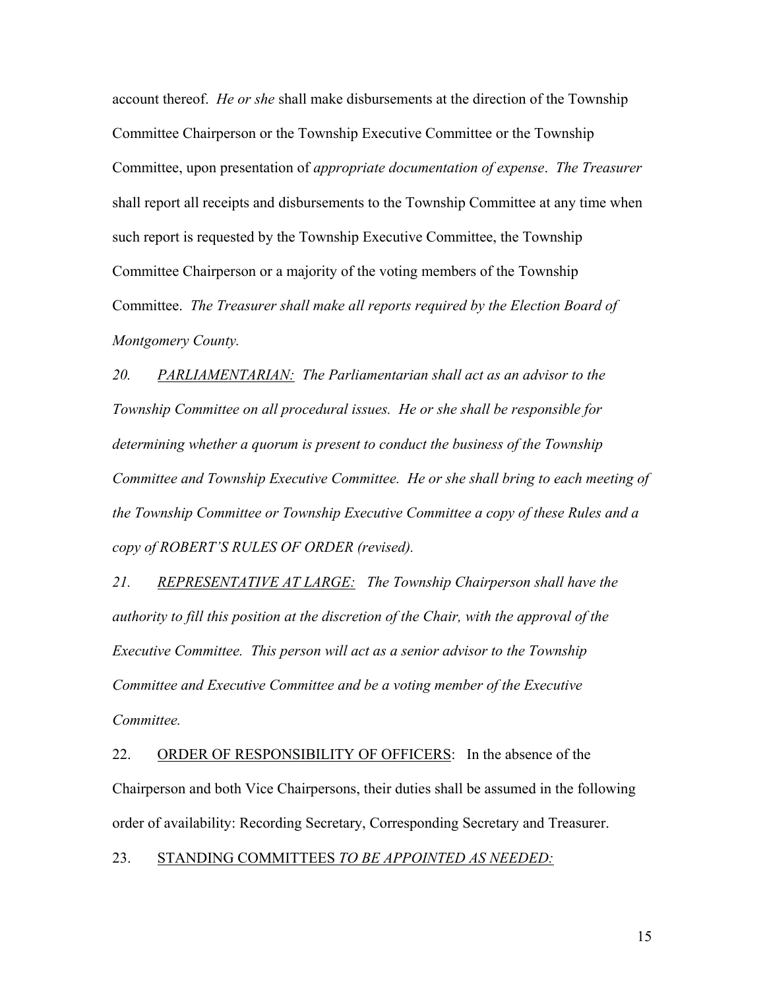account thereof. *He or she* shall make disbursements at the direction of the Township Committee Chairperson or the Township Executive Committee or the Township Committee, upon presentation of *appropriate documentation of expense*. *The Treasurer*  shall report all receipts and disbursements to the Township Committee at any time when such report is requested by the Township Executive Committee, the Township Committee Chairperson or a majority of the voting members of the Township Committee. *The Treasurer shall make all reports required by the Election Board of Montgomery County.* 

*20. PARLIAMENTARIAN: The Parliamentarian shall act as an advisor to the Township Committee on all procedural issues. He or she shall be responsible for determining whether a quorum is present to conduct the business of the Township Committee and Township Executive Committee. He or she shall bring to each meeting of the Township Committee or Township Executive Committee a copy of these Rules and a copy of ROBERT'S RULES OF ORDER (revised).*

*21. REPRESENTATIVE AT LARGE: The Township Chairperson shall have the authority to fill this position at the discretion of the Chair, with the approval of the Executive Committee. This person will act as a senior advisor to the Township Committee and Executive Committee and be a voting member of the Executive Committee.*

22. ORDER OF RESPONSIBILITY OF OFFICERS: In the absence of the Chairperson and both Vice Chairpersons, their duties shall be assumed in the following order of availability: Recording Secretary, Corresponding Secretary and Treasurer.

23. STANDING COMMITTEES *TO BE APPOINTED AS NEEDED:*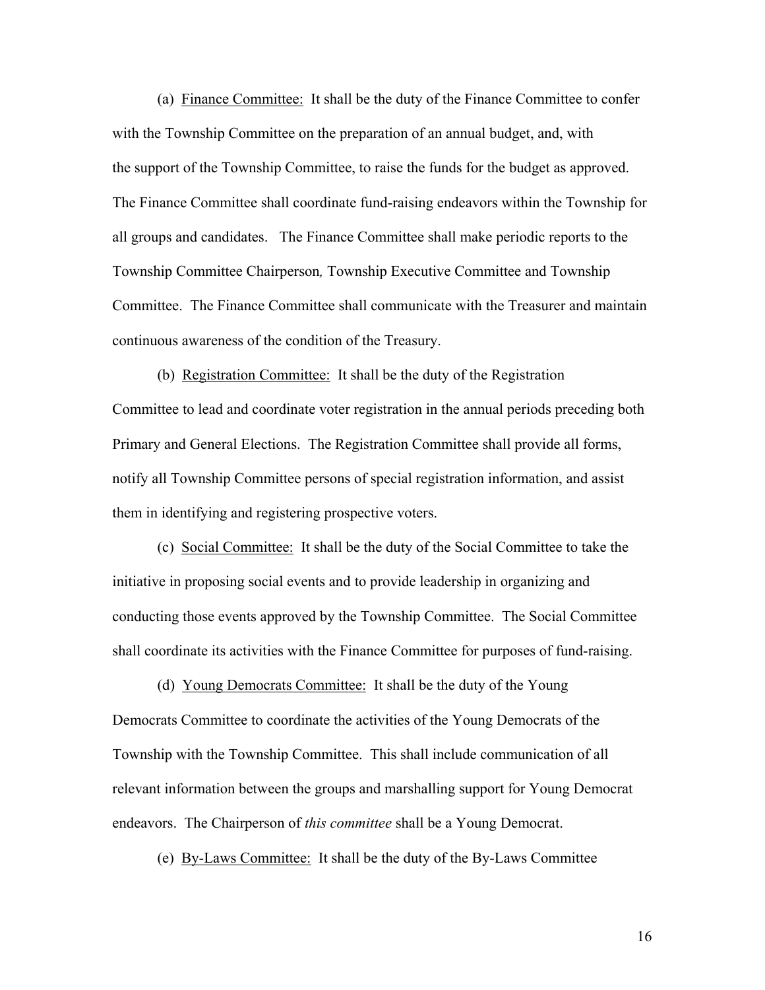(a) Finance Committee: It shall be the duty of the Finance Committee to confer with the Township Committee on the preparation of an annual budget, and, with the support of the Township Committee, to raise the funds for the budget as approved. The Finance Committee shall coordinate fund-raising endeavors within the Township for all groups and candidates. The Finance Committee shall make periodic reports to the Township Committee Chairperson*,* Township Executive Committee and Township Committee. The Finance Committee shall communicate with the Treasurer and maintain continuous awareness of the condition of the Treasury.

(b) Registration Committee: It shall be the duty of the Registration Committee to lead and coordinate voter registration in the annual periods preceding both Primary and General Elections. The Registration Committee shall provide all forms, notify all Township Committee persons of special registration information, and assist them in identifying and registering prospective voters.

(c) Social Committee: It shall be the duty of the Social Committee to take the initiative in proposing social events and to provide leadership in organizing and conducting those events approved by the Township Committee. The Social Committee shall coordinate its activities with the Finance Committee for purposes of fund-raising.

(d) Young Democrats Committee: It shall be the duty of the Young Democrats Committee to coordinate the activities of the Young Democrats of the Township with the Township Committee. This shall include communication of all relevant information between the groups and marshalling support for Young Democrat endeavors. The Chairperson of *this committee* shall be a Young Democrat.

(e) By-Laws Committee: It shall be the duty of the By-Laws Committee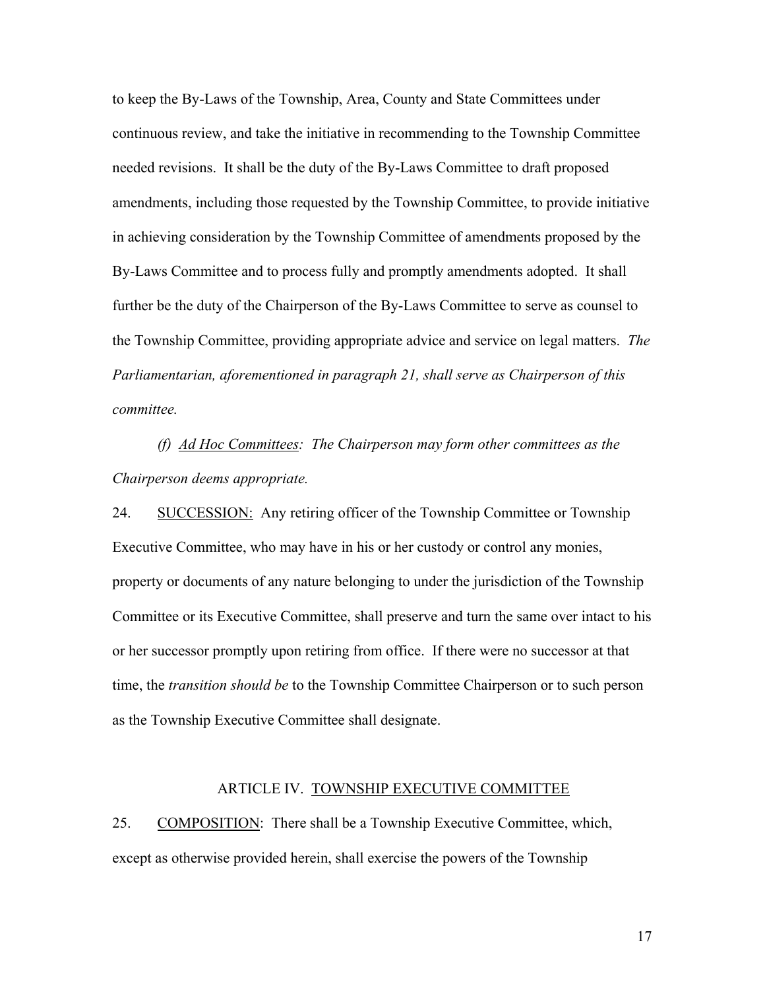to keep the By-Laws of the Township, Area, County and State Committees under continuous review, and take the initiative in recommending to the Township Committee needed revisions. It shall be the duty of the By-Laws Committee to draft proposed amendments, including those requested by the Township Committee, to provide initiative in achieving consideration by the Township Committee of amendments proposed by the By-Laws Committee and to process fully and promptly amendments adopted. It shall further be the duty of the Chairperson of the By-Laws Committee to serve as counsel to the Township Committee, providing appropriate advice and service on legal matters. *The Parliamentarian, aforementioned in paragraph 21, shall serve as Chairperson of this committee.*

*(f) Ad Hoc Committees: The Chairperson may form other committees as the Chairperson deems appropriate.*

24. SUCCESSION: Any retiring officer of the Township Committee or Township Executive Committee, who may have in his or her custody or control any monies, property or documents of any nature belonging to under the jurisdiction of the Township Committee or its Executive Committee, shall preserve and turn the same over intact to his or her successor promptly upon retiring from office. If there were no successor at that time, the *transition should be* to the Township Committee Chairperson or to such person as the Township Executive Committee shall designate.

#### ARTICLE IV. TOWNSHIP EXECUTIVE COMMITTEE

25. COMPOSITION: There shall be a Township Executive Committee, which, except as otherwise provided herein, shall exercise the powers of the Township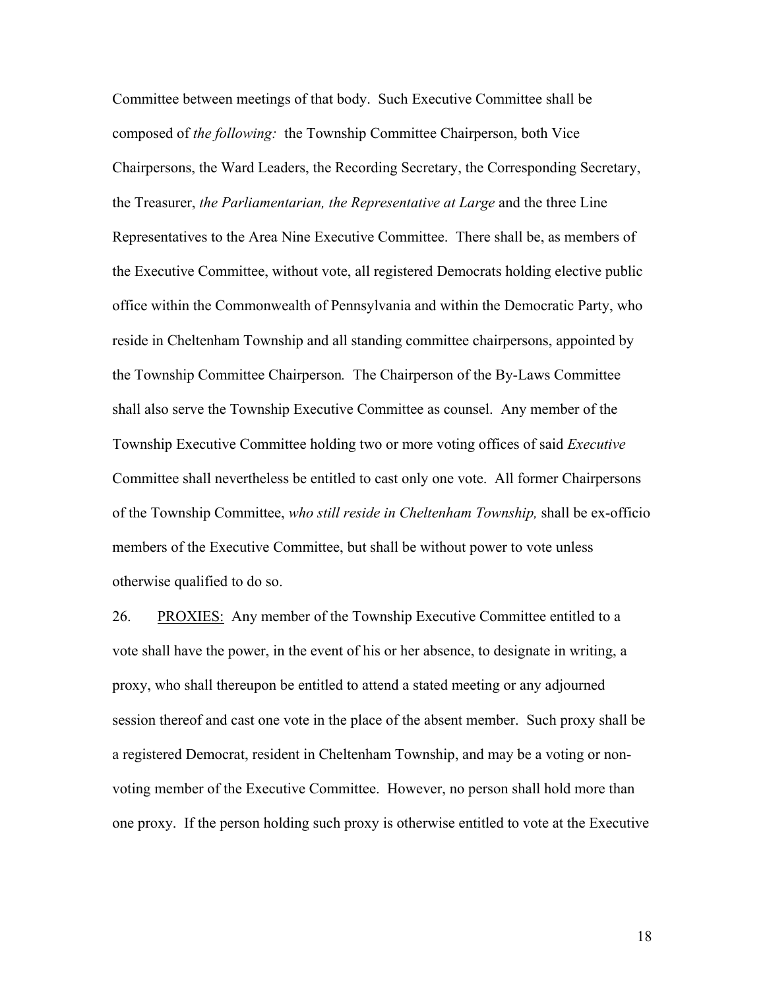Committee between meetings of that body. Such Executive Committee shall be composed of *the following:* the Township Committee Chairperson, both Vice Chairpersons, the Ward Leaders, the Recording Secretary, the Corresponding Secretary, the Treasurer, *the Parliamentarian, the Representative at Large* and the three Line Representatives to the Area Nine Executive Committee. There shall be, as members of the Executive Committee, without vote, all registered Democrats holding elective public office within the Commonwealth of Pennsylvania and within the Democratic Party, who reside in Cheltenham Township and all standing committee chairpersons, appointed by the Township Committee Chairperson*.* The Chairperson of the By-Laws Committee shall also serve the Township Executive Committee as counsel. Any member of the Township Executive Committee holding two or more voting offices of said *Executive* Committee shall nevertheless be entitled to cast only one vote. All former Chairpersons of the Township Committee, *who still reside in Cheltenham Township,* shall be ex-officio members of the Executive Committee, but shall be without power to vote unless otherwise qualified to do so.

26. PROXIES: Any member of the Township Executive Committee entitled to a vote shall have the power, in the event of his or her absence, to designate in writing, a proxy, who shall thereupon be entitled to attend a stated meeting or any adjourned session thereof and cast one vote in the place of the absent member. Such proxy shall be a registered Democrat, resident in Cheltenham Township, and may be a voting or nonvoting member of the Executive Committee. However, no person shall hold more than one proxy. If the person holding such proxy is otherwise entitled to vote at the Executive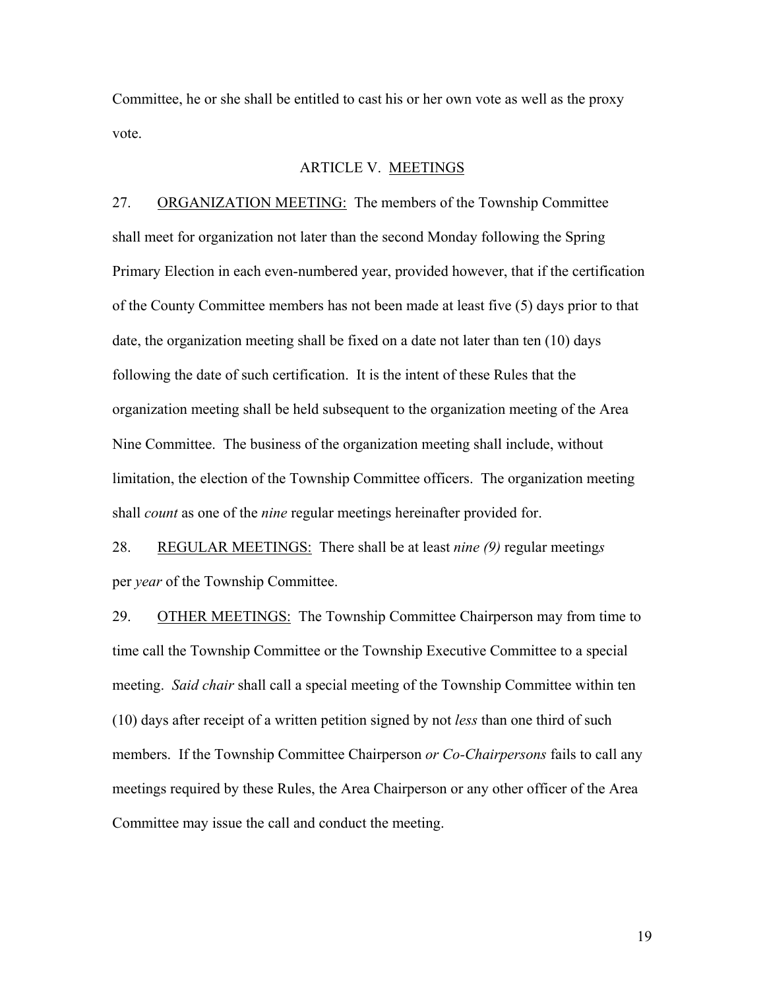Committee, he or she shall be entitled to cast his or her own vote as well as the proxy vote.

### ARTICLE V. MEETINGS

27. ORGANIZATION MEETING: The members of the Township Committee shall meet for organization not later than the second Monday following the Spring Primary Election in each even-numbered year, provided however, that if the certification of the County Committee members has not been made at least five (5) days prior to that date, the organization meeting shall be fixed on a date not later than ten (10) days following the date of such certification. It is the intent of these Rules that the organization meeting shall be held subsequent to the organization meeting of the Area Nine Committee. The business of the organization meeting shall include, without limitation, the election of the Township Committee officers. The organization meeting shall *count* as one of the *nine* regular meetings hereinafter provided for.

28. REGULAR MEETINGS: There shall be at least *nine (9)* regular meeting*s* per *year* of the Township Committee.

29. OTHER MEETINGS: The Township Committee Chairperson may from time to time call the Township Committee or the Township Executive Committee to a special meeting. *Said chair* shall call a special meeting of the Township Committee within ten (10) days after receipt of a written petition signed by not *less* than one third of such members. If the Township Committee Chairperson *or Co-Chairpersons* fails to call any meetings required by these Rules, the Area Chairperson or any other officer of the Area Committee may issue the call and conduct the meeting.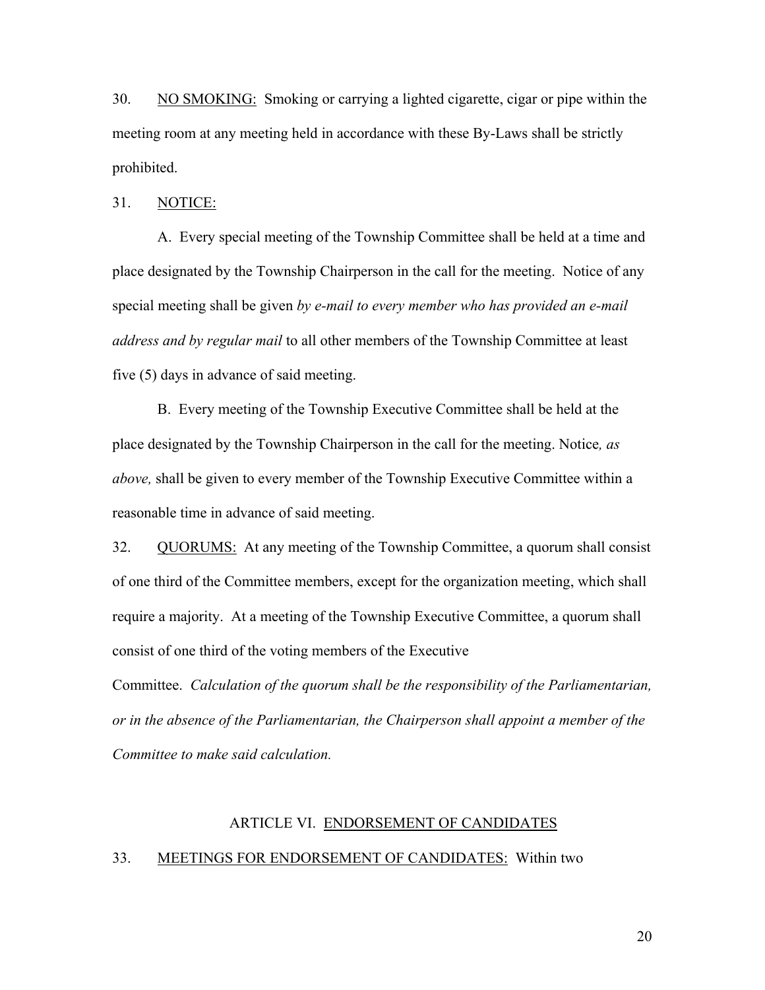30. NO SMOKING: Smoking or carrying a lighted cigarette, cigar or pipe within the meeting room at any meeting held in accordance with these By-Laws shall be strictly prohibited.

31. NOTICE:

A. Every special meeting of the Township Committee shall be held at a time and place designated by the Township Chairperson in the call for the meeting. Notice of any special meeting shall be given *by e-mail to every member who has provided an e-mail address and by regular mail* to all other members of the Township Committee at least five (5) days in advance of said meeting.

B. Every meeting of the Township Executive Committee shall be held at the place designated by the Township Chairperson in the call for the meeting. Notice*, as above,* shall be given to every member of the Township Executive Committee within a reasonable time in advance of said meeting.

32. QUORUMS: At any meeting of the Township Committee, a quorum shall consist of one third of the Committee members, except for the organization meeting, which shall require a majority. At a meeting of the Township Executive Committee, a quorum shall consist of one third of the voting members of the Executive

Committee. *Calculation of the quorum shall be the responsibility of the Parliamentarian, or in the absence of the Parliamentarian, the Chairperson shall appoint a member of the Committee to make said calculation.*

#### ARTICLE VI. ENDORSEMENT OF CANDIDATES

### 33. MEETINGS FOR ENDORSEMENT OF CANDIDATES: Within two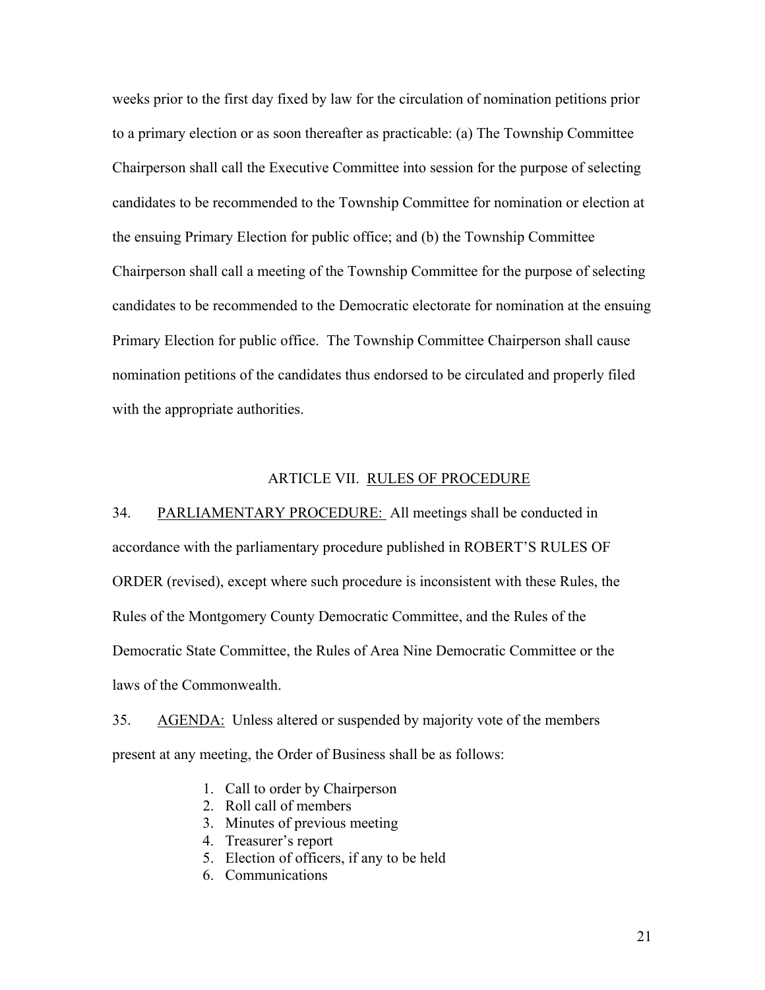weeks prior to the first day fixed by law for the circulation of nomination petitions prior to a primary election or as soon thereafter as practicable: (a) The Township Committee Chairperson shall call the Executive Committee into session for the purpose of selecting candidates to be recommended to the Township Committee for nomination or election at the ensuing Primary Election for public office; and (b) the Township Committee Chairperson shall call a meeting of the Township Committee for the purpose of selecting candidates to be recommended to the Democratic electorate for nomination at the ensuing Primary Election for public office. The Township Committee Chairperson shall cause nomination petitions of the candidates thus endorsed to be circulated and properly filed with the appropriate authorities.

#### ARTICLE VII. RULES OF PROCEDURE

34. PARLIAMENTARY PROCEDURE: All meetings shall be conducted in accordance with the parliamentary procedure published in ROBERT'S RULES OF ORDER (revised), except where such procedure is inconsistent with these Rules, the Rules of the Montgomery County Democratic Committee, and the Rules of the Democratic State Committee, the Rules of Area Nine Democratic Committee or the laws of the Commonwealth.

35. AGENDA: Unless altered or suspended by majority vote of the members present at any meeting, the Order of Business shall be as follows:

- 1. Call to order by Chairperson
- 2. Roll call of members
- 3. Minutes of previous meeting
- 4. Treasurer's report
- 5. Election of officers, if any to be held
- 6. Communications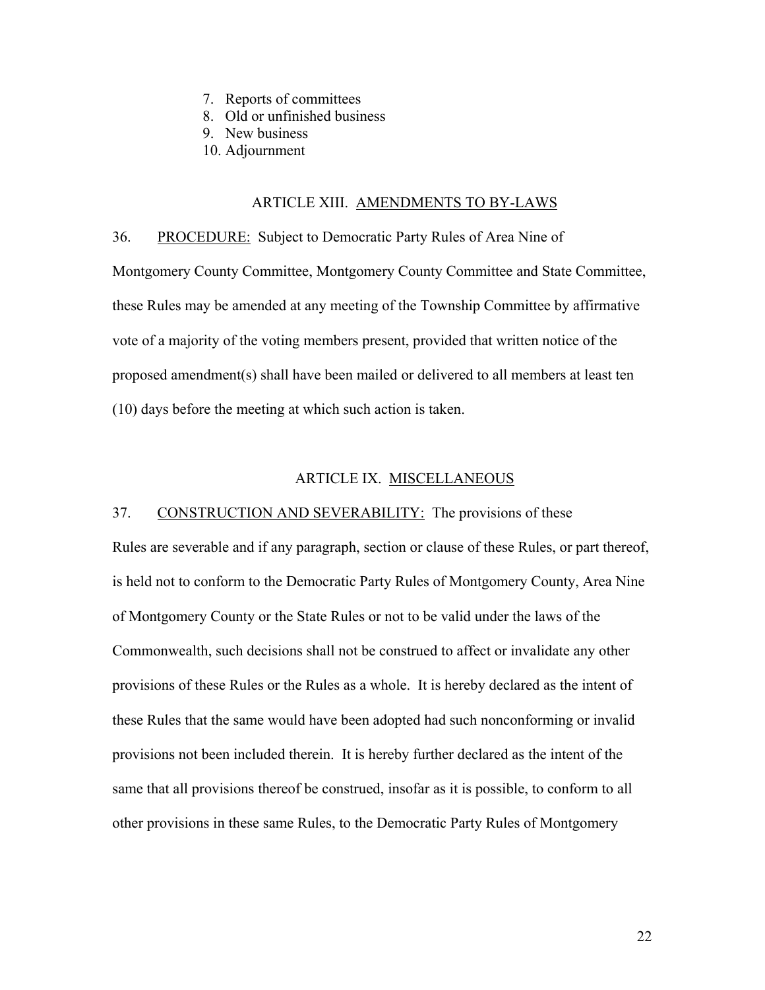- 7. Reports of committees
- 8. Old or unfinished business
- 9. New business
- 10. Adjournment

#### ARTICLE XIII. AMENDMENTS TO BY-LAWS

36. PROCEDURE: Subject to Democratic Party Rules of Area Nine of Montgomery County Committee, Montgomery County Committee and State Committee, these Rules may be amended at any meeting of the Township Committee by affirmative vote of a majority of the voting members present, provided that written notice of the proposed amendment(s) shall have been mailed or delivered to all members at least ten (10) days before the meeting at which such action is taken.

### ARTICLE IX. MISCELLANEOUS

#### 37. CONSTRUCTION AND SEVERABILITY: The provisions of these

Rules are severable and if any paragraph, section or clause of these Rules, or part thereof, is held not to conform to the Democratic Party Rules of Montgomery County, Area Nine of Montgomery County or the State Rules or not to be valid under the laws of the Commonwealth, such decisions shall not be construed to affect or invalidate any other provisions of these Rules or the Rules as a whole. It is hereby declared as the intent of these Rules that the same would have been adopted had such nonconforming or invalid provisions not been included therein. It is hereby further declared as the intent of the same that all provisions thereof be construed, insofar as it is possible, to conform to all other provisions in these same Rules, to the Democratic Party Rules of Montgomery